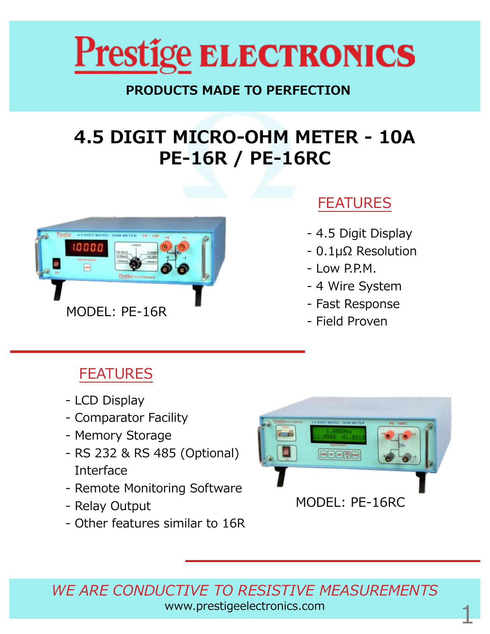

#### **PRODUCTS MADE TO PERFECTION**

# **4.5 DIGIT MICRO-OHM METER - 10A PE-16R / PE-16RC**



### FEATURES

- 4.5 Digit Display
- 0.1µΩ Resolution
- Low P.P.M.
- 4 Wire System
- Fast Response
- 

# FEATURES

- LCD Display
- Comparator Facility
- Memory Storage
- RS 232 & RS 485 (Optional) Interface
- Remote Monitoring Software
- Relay Output
- Other features similar to 16R



*WE ARE CONDUCTIVE TO RESISTIVE MEASUREMENTS* www.prestigeelectronics.com 1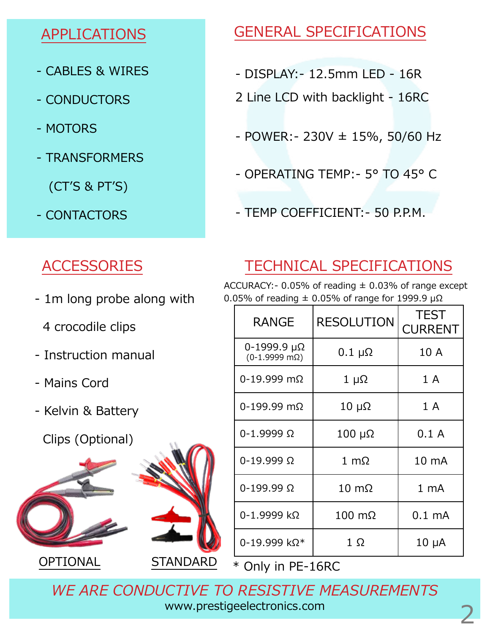#### APPLICATIONS

- CABLES & WIRES
- CONDUCTORS
- MOTORS
- TRANSFORMERS

(CT'S & PT'S)

- CONTACTORS

# ACCESSORIES

- 1m long probe along with
	- 4 crocodile clips
- Instruction manual
- Mains Cord
- Kelvin & Battery
	- Clips (Optional)



OPTIONAL STANDARD



### GENERAL SPECIFICATIONS

- DISPLAY:- 12.5mm LED 16R
- 2 Line LCD with backlight 16RC
- $-$  POWER:  $-$  230V  $\pm$  15%, 50/60 Hz
- OPERATING TEMP:- 5° TO 45° C
- TEMP COEFFICIENT:- 50 P.P.M.

# TECHNICAL SPECIFICATIONS

ACCURACY: - 0.05% of reading  $\pm$  0.03% of range except

0.05% of reading  $\pm$  0.05% of range for 1999.9  $\mu\Omega$ 

| <b>RANGE</b>                                | <b>RESOLUTION</b>     | <b>TEST</b><br><b>CURRENT</b> |
|---------------------------------------------|-----------------------|-------------------------------|
| 0-1999.9 μΩ<br>$(0-1.9999 \text{ m}\Omega)$ | $0.1 \mu\Omega$       | 10 A                          |
| $0-19.999$ m $\Omega$                       | $1 \mu\Omega$         | 1A                            |
| $0-199.99$ m $\Omega$                       | $10 \mu\Omega$        | 1A                            |
| $0 - 1.9999 \Omega$                         | $100 \mu\Omega$       | 0.1A                          |
| $0 - 19.999 \Omega$                         | $1 \text{ m}\Omega$   | 10 mA                         |
| $0 - 199.99 \Omega$                         | $10 \text{ m}\Omega$  | 1 <sub>mA</sub>               |
| 0-1.9999 kΩ                                 | $100 \text{ m}\Omega$ | $0.1 \text{ mA}$              |
| 0-19.999 kΩ*                                | 1Ω                    | $10 \mu A$                    |

\* Only in PE-16RC

*WE ARE CONDUCTIVE TO RESISTIVE MEASUREMENTS* www.prestigeelectronics.com 2